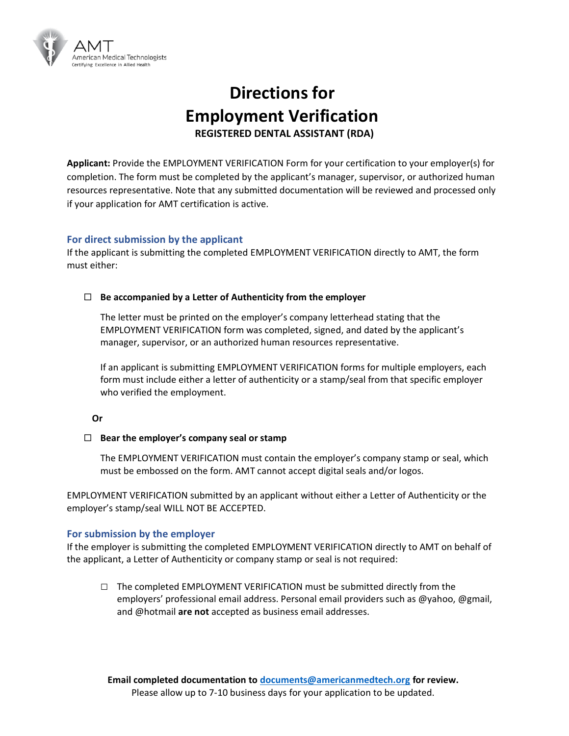

# **Directions for Employment Verification REGISTERED DENTAL ASSISTANT (RDA)**

**Applicant:** Provide the EMPLOYMENT VERIFICATION Form for your certification to your employer(s) for completion. The form must be completed by the applicant's manager, supervisor, or authorized human resources representative. Note that any submitted documentation will be reviewed and processed only if your application for AMT certification is active.

### **For direct submission by the applicant**

If the applicant is submitting the completed EMPLOYMENT VERIFICATION directly to AMT, the form must either:

### **Be accompanied by a Letter of Authenticity from the employer**

The letter must be printed on the employer's company letterhead stating that the EMPLOYMENT VERIFICATION form was completed, signed, and dated by the applicant's manager, supervisor, or an authorized human resources representative.

If an applicant is submitting EMPLOYMENT VERIFICATION forms for multiple employers, each form must include either a letter of authenticity or a stamp/seal from that specific employer who verified the employment.

#### **Or**

#### **Bear the employer's company seal or stamp**

The EMPLOYMENT VERIFICATION must contain the employer's company stamp or seal, which must be embossed on the form. AMT cannot accept digital seals and/or logos.

EMPLOYMENT VERIFICATION submitted by an applicant without either a Letter of Authenticity or the employer's stamp/seal WILL NOT BE ACCEPTED.

### **For submission by the employer**

If the employer is submitting the completed EMPLOYMENT VERIFICATION directly to AMT on behalf of the applicant, a Letter of Authenticity or company stamp or seal is not required:

**□** The completed EMPLOYMENT VERIFICATION must be submitted directly from the employers' professional email address. Personal email providers such as @yahoo, @gmail, and @hotmail **are not** accepted as business email addresses.